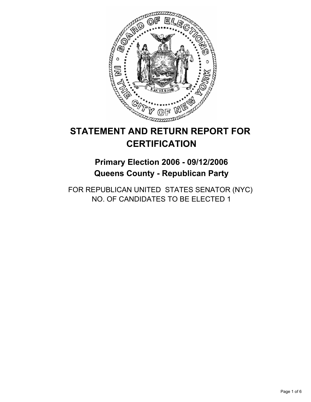

# **STATEMENT AND RETURN REPORT FOR CERTIFICATION**

**Primary Election 2006 - 09/12/2006 Queens County - Republican Party**

FOR REPUBLICAN UNITED STATES SENATOR (NYC) NO. OF CANDIDATES TO BE ELECTED 1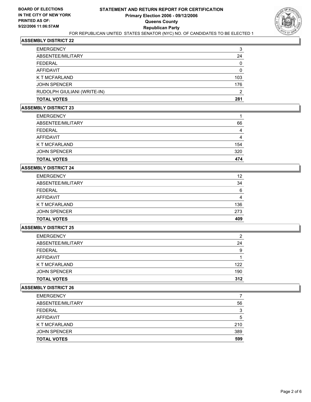

| <b>EMERGENCY</b>            | 3   |
|-----------------------------|-----|
| ABSENTEE/MILITARY           | 24  |
| FEDERAL                     | 0   |
| AFFIDAVIT                   |     |
| K T MCFARLAND               | 103 |
| <b>JOHN SPENCER</b>         | 176 |
| RUDOLPH GIULIANI (WRITE-IN) | ◠   |
| TOTAL VOTES                 | 281 |

# **ASSEMBLY DISTRICT 23**

| <b>EMERGENCY</b>     |     |
|----------------------|-----|
| ABSENTEE/MILITARY    | 66  |
| FEDERAL              |     |
| AFFIDAVIT            |     |
| <b>K T MCFARLAND</b> | 154 |
| <b>JOHN SPENCER</b>  | 320 |
| <b>TOTAL VOTES</b>   | 474 |

#### **ASSEMBLY DISTRICT 24**

| <b>EMERGENCY</b>     | 12  |
|----------------------|-----|
| ABSENTEE/MILITARY    | 34  |
| FEDERAL              | 6   |
| AFFIDAVIT            | 4   |
| <b>K T MCFARLAND</b> | 136 |
| <b>JOHN SPENCER</b>  | 273 |
| <b>TOTAL VOTES</b>   | 409 |

#### **ASSEMBLY DISTRICT 25**

| <b>EMERGENCY</b>    | ົ   |
|---------------------|-----|
| ABSENTEE/MILITARY   | 24  |
| FEDERAL             | 9   |
| AFFIDAVIT           |     |
| K T MCFARLAND       | 122 |
| <b>JOHN SPENCER</b> | 190 |
| <b>TOTAL VOTES</b>  | 312 |

| <b>EMERGENCY</b>    |     |
|---------------------|-----|
| ABSENTEE/MILITARY   | 56  |
| FEDERAL             | 3   |
| AFFIDAVIT           | 5   |
| K T MCFARLAND       | 210 |
| <b>JOHN SPENCER</b> | 389 |
| <b>TOTAL VOTES</b>  | 599 |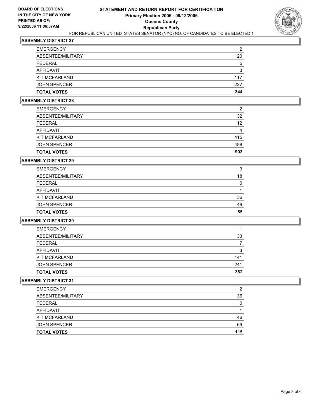

| <b>EMERGENCY</b>     | ົ   |
|----------------------|-----|
| ABSENTEE/MILITARY    | 20  |
| <b>FEDERAL</b>       | 5   |
| AFFIDAVIT            | כי  |
| <b>K T MCFARLAND</b> | 117 |
| <b>JOHN SPENCER</b>  | 227 |
| <b>TOTAL VOTES</b>   | 344 |

#### **ASSEMBLY DISTRICT 28**

| <b>TOTAL VOTES</b>   | 903 |
|----------------------|-----|
| <b>JOHN SPENCER</b>  | 488 |
| <b>K T MCFARLAND</b> | 415 |
| AFFIDAVIT            | 4   |
| <b>FEDERAL</b>       | 12  |
| ABSENTEE/MILITARY    | 32  |
| <b>EMERGENCY</b>     | 2   |

#### **ASSEMBLY DISTRICT 29**

| <b>EMERGENCY</b>    | 2  |
|---------------------|----|
| ABSENTEE/MILITARY   | 18 |
| FEDERAL             |    |
| AFFIDAVIT           |    |
| K T MCFARLAND       | 36 |
| <b>JOHN SPENCER</b> | 49 |
| <b>TOTAL VOTES</b>  | 85 |

# **ASSEMBLY DISTRICT 30**

| <b>EMERGENCY</b>    |     |
|---------------------|-----|
| ABSENTEE/MILITARY   | 33  |
| <b>FEDERAL</b>      |     |
| AFFIDAVIT           | າ   |
| K T MCFARLAND       | 141 |
| <b>JOHN SPENCER</b> | 241 |
| <b>TOTAL VOTES</b>  | 382 |

| <b>EMERGENCY</b>    | ົ   |
|---------------------|-----|
| ABSENTEE/MILITARY   | 36  |
| FEDERAL             |     |
| AFFIDAVIT           |     |
| K T MCFARLAND       | 46  |
| <b>JOHN SPENCER</b> | 69  |
| <b>TOTAL VOTES</b>  | 115 |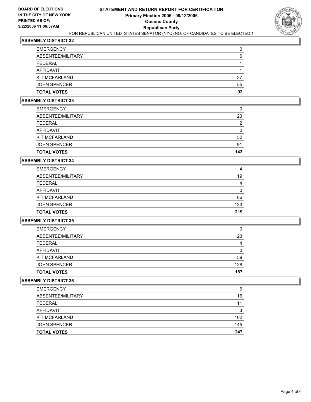

| <b>TOTAL VOTES</b>   | 92 |
|----------------------|----|
| <b>JOHN SPENCER</b>  | 55 |
| <b>K T MCFARLAND</b> | 37 |
| AFFIDAVIT            |    |
| <b>FEDERAL</b>       |    |
| ABSENTEE/MILITARY    | 6  |
| <b>EMERGENCY</b>     |    |

#### **ASSEMBLY DISTRICT 33**

| <b>TOTAL VOTES</b>   | 143 |
|----------------------|-----|
| <b>JOHN SPENCER</b>  | 91  |
| <b>K T MCFARLAND</b> | 52  |
| AFFIDAVIT            |     |
| <b>FEDERAL</b>       | ◠   |
| ABSENTEE/MILITARY    | 23  |
| <b>EMERGENCY</b>     |     |

#### **ASSEMBLY DISTRICT 34**

| <b>EMERGENCY</b>     | 4   |
|----------------------|-----|
| ABSENTEE/MILITARY    | 19  |
| <b>FEDERAL</b>       |     |
| AFFIDAVIT            |     |
| <b>K T MCFARLAND</b> | 86  |
| <b>JOHN SPENCER</b>  | 133 |
| <b>TOTAL VOTES</b>   | 219 |

# **ASSEMBLY DISTRICT 35**

| <b>EMERGENCY</b>    |     |
|---------------------|-----|
| ABSENTEE/MILITARY   | 23  |
| FEDERAL             |     |
| AFFIDAVIT           |     |
| K T MCFARLAND       | 59  |
| <b>JOHN SPENCER</b> | 128 |
| <b>TOTAL VOTES</b>  | 187 |

| <b>EMERGENCY</b>    | 6   |
|---------------------|-----|
| ABSENTEE/MILITARY   | 16  |
| FEDERAL             | 11  |
| AFFIDAVIT           | 3   |
| K T MCFARLAND       | 102 |
| <b>JOHN SPENCER</b> | 145 |
| <b>TOTAL VOTES</b>  | 247 |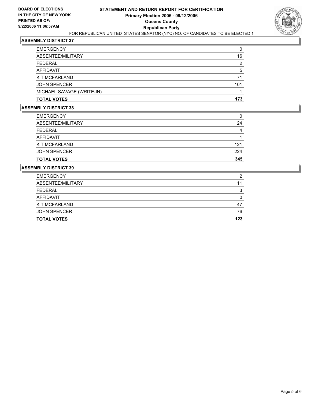

| <b>EMERGENCY</b>          |     |
|---------------------------|-----|
| ABSENTEE/MILITARY         | 16  |
| <b>FEDERAL</b>            |     |
| <b>AFFIDAVIT</b>          | :   |
| K T MCFARLAND             | 71  |
| <b>JOHN SPENCER</b>       | 101 |
| MICHAEL SAVAGE (WRITE-IN) |     |
| <b>TOTAL VOTES</b>        | 173 |

# **ASSEMBLY DISTRICT 38**

| <b>TOTAL VOTES</b>   | 345 |
|----------------------|-----|
| <b>JOHN SPENCER</b>  | 224 |
| <b>K T MCFARLAND</b> | 121 |
| AFFIDAVIT            |     |
| <b>FEDERAL</b>       |     |
| ABSENTEE/MILITARY    | 24  |
| <b>EMERGENCY</b>     |     |

| <b>TOTAL VOTES</b>  | 123 |
|---------------------|-----|
| <b>JOHN SPENCER</b> | 76  |
| K T MCFARLAND       | 47  |
| <b>AFFIDAVIT</b>    |     |
| <b>FEDERAL</b>      |     |
| ABSENTEE/MILITARY   | 11  |
| <b>EMERGENCY</b>    | ົ   |